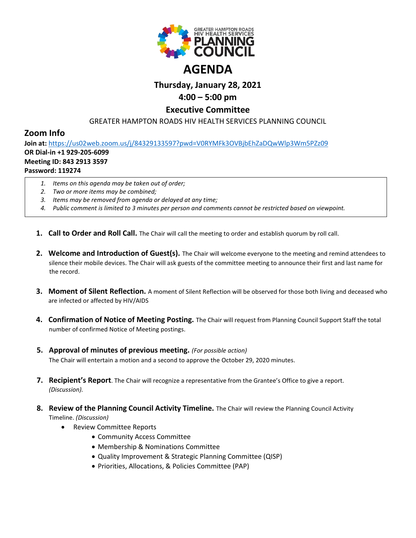

# **Thursday, January 28, 2021 4:00 – 5:00 pm**

### **Executive Committee**

GREATER HAMPTON ROADS HIV HEALTH SERVICES PLANNING COUNCIL

## **Zoom Info**

**Join at:** <https://us02web.zoom.us/j/84329133597?pwd=V0RYMFk3OVBjbEhZaDQwWlp3Wm5PZz09> **OR Dial-in +1 929-205-6099 Meeting ID: 843 2913 3597**

### **Password: 119274**

- *1. Items on this agenda may be taken out of order;*
- *2. Two or more items may be combined;*
- *3. Items may be removed from agenda or delayed at any time;*
- *4. Public comment is limited to 3 minutes per person and comments cannot be restricted based on viewpoint.*
- **1. Call to Order and Roll Call.** The Chair will call the meeting to order and establish quorum by roll call.
- **2. Welcome and Introduction of Guest(s).** The Chair will welcome everyone to the meeting and remind attendees to silence their mobile devices. The Chair will ask guests of the committee meeting to announce their first and last name for the record.
- **3. Moment of Silent Reflection.** A moment of Silent Reflection will be observed for those both living and deceased who are infected or affected by HIV/AIDS
- **4. Confirmation of Notice of Meeting Posting.** The Chair will request from Planning Council Support Staff the total number of confirmed Notice of Meeting postings.
- **5. Approval of minutes of previous meeting.** *(For possible action)* The Chair will entertain a motion and a second to approve the October 29, 2020 minutes.
- **7. Recipient's Report**. The Chair will recognize a representative from the Grantee's Office to give a report. *(Discussion).*
- **8. Review of the Planning Council Activity Timeline.** The Chair will review the Planning Council Activity Timeline. *(Discussion)*
	- Review Committee Reports
		- Community Access Committee
		- Membership & Nominations Committee
		- Quality Improvement & Strategic Planning Committee (QISP)
		- Priorities, Allocations, & Policies Committee (PAP)